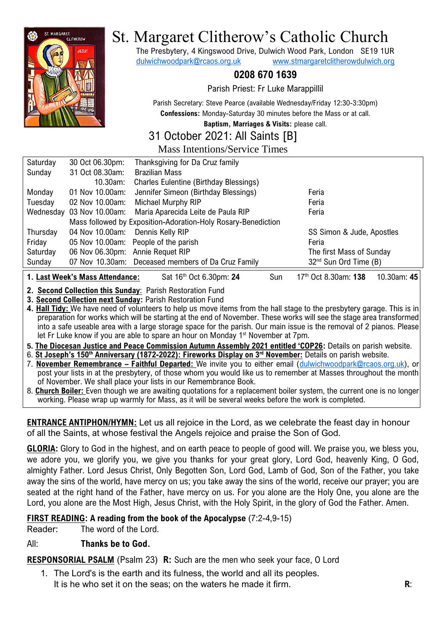

# St. Margaret Clitherow's Catholic Church

The Presbytery, 4 Kingswood Drive, Dulwich Wood Park, London SE19 1UR [dulwichwoodpark@rcaos.org.uk](mailto:dulwichwoodpark@rcaos.org.uk) [www.stmargaretclitherowdulwich.org](http://www.stmargaretclitherowdulwich.org/)

### **0208 670 1639**

Parish Priest: Fr Luke Marappillil

Parish Secretary: Steve Pearce (available Wednesday/Friday 12:30-3:30pm) **Confessions:** Monday-Saturday 30 minutes before the Mass or at call.

**Baptism, Marriages & Visits:** please call.

## 31 October 2021: All Saints [B]

Mass Intentions/Service Times

| Saturday                                                                                                                                    | 30 Oct 06.30pm:                  | Thanksgiving for Da Cruz family                               |  |                                   |  |
|---------------------------------------------------------------------------------------------------------------------------------------------|----------------------------------|---------------------------------------------------------------|--|-----------------------------------|--|
|                                                                                                                                             |                                  |                                                               |  |                                   |  |
| Sunday                                                                                                                                      | 31 Oct 08.30am:                  | <b>Brazilian Mass</b>                                         |  |                                   |  |
|                                                                                                                                             | 10.30am:                         | <b>Charles Eulentine (Birthday Blessings)</b>                 |  |                                   |  |
| Monday                                                                                                                                      | 01 Nov 10.00am:                  | Jennifer Simeon (Birthday Blessings)                          |  | Feria                             |  |
| Tuesday                                                                                                                                     | 02 Nov 10.00am:                  | <b>Michael Murphy RIP</b>                                     |  | Feria                             |  |
|                                                                                                                                             | Wednesday 03 Nov 10.00am:        | Maria Aparecida Leite de Paula RIP                            |  | Feria                             |  |
|                                                                                                                                             |                                  | Mass followed by Exposition-Adoration-Holy Rosary-Benediction |  |                                   |  |
| Thursday                                                                                                                                    | 04 Nov 10.00am: Dennis Kelly RIP |                                                               |  | SS Simon & Jude, Apostles         |  |
| Friday                                                                                                                                      |                                  | 05 Nov 10.00am: People of the parish                          |  | Feria                             |  |
| Saturday                                                                                                                                    | 06 Nov 06.30pm: Annie Requet RIP |                                                               |  | The first Mass of Sunday          |  |
| Sunday                                                                                                                                      |                                  | 07 Nov 10.30am: Deceased members of Da Cruz Family            |  | 32 <sup>nd</sup> Sun Ord Time (B) |  |
| Sat $16th$ Oct 6 $30th$ 24<br>17 <sup>th</sup> Oct 8.30am: <b>138</b><br>10.30am: $45$<br>1. Last Week's Mass Attendance:<br>S <sub>1</sub> |                                  |                                                               |  |                                   |  |

**1. Last Week's Mass Attendance:** Sat 16th Oct 6.30pm: **24** Sun 17

**2. Second Collection this Sunday**: Parish Restoration Fund

**3. Second Collection next Sunday:** Parish Restoration Fund

**4. Hall Tidy:** We have need of volunteers to help us move items from the hall stage to the presbytery garage. This is in preparation for works which will be starting at the end of November. These works will see the stage area transformed into a safe useable area with a large storage space for the parish. Our main issue is the removal of 2 pianos. Please let Fr Luke know if you are able to spare an hour on Monday 1<sup>st</sup> November at 7pm.

**5. The Diocesan Justice and Peace Commission Autumn Assembly 2021 entitled 'COP26:** Details on parish website.

6. **St Joseph's 150th Anniversary (1872-2022): Fireworks Display on 3rd November:** Details on parish website.

7. **November Remembrance – Faithful Departed:** We invite you to either email [\(dulwichwoodpark@rcaos.org.uk\)](mailto:dulwichwoodpark@rcaos.org.uk), or post your lists in at the presbytery, of those whom you would like us to remember at Masses throughout the month of November. We shall place your lists in our Remembrance Book.

8. **Church Boiler:** Even though we are awaiting quotations for a replacement boiler system, the current one is no longer working. Please wrap up warmly for Mass, as it will be several weeks before the work is completed.

**ENTRANCE ANTIPHON/HYMN:** Let us all rejoice in the Lord, as we celebrate the feast day in honour of all the Saints, at whose festival the Angels rejoice and praise the Son of God.

**GLORIA:** Glory to God in the highest, and on earth peace to people of good will. We praise you, we bless you, we adore you, we glorify you, we give you thanks for your great glory, Lord God, heavenly King, O God, almighty Father. Lord Jesus Christ, Only Begotten Son, Lord God, Lamb of God, Son of the Father, you take away the sins of the world, have mercy on us; you take away the sins of the world, receive our prayer; you are seated at the right hand of the Father, have mercy on us. For you alone are the Holy One, you alone are the Lord, you alone are the Most High, Jesus Christ, with the Holy Spirit, in the glory of God the Father. Amen.

# **FIRST READING: A reading from the book of the Apocalypse** (7:2-4,9-15)

Reader: The word of the Lord.

## All: **Thanks be to God.**

**RESPONSORIAL PSALM** (Psalm 23) **R:** Such are the men who seek your face, O Lord

1. The Lord's is the earth and its fulness, the world and all its peoples. It is he who set it on the seas; on the waters he made it firm. **R**: